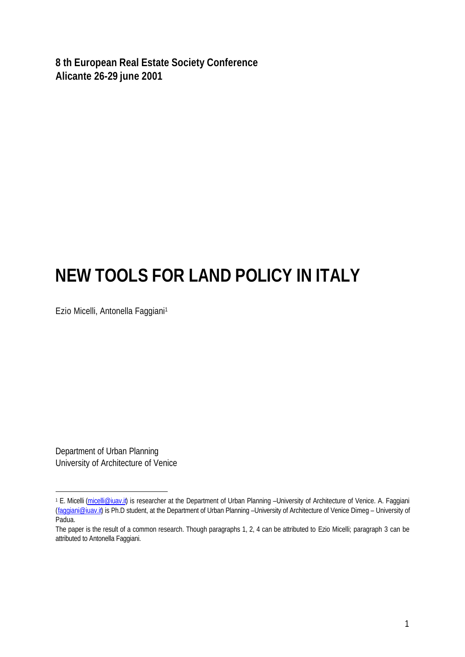**8 th European Real Estate Society Conference Alicante 26-29 june 2001**

# **NEW TOOLS FOR LAND POLICY IN ITALY**

Ezio Micelli, Antonella Faggiani<sup>1</sup>

Department of Urban Planning University of Architecture of Venice

l

<sup>&</sup>lt;sup>1</sup> E. Micelli (micelli@iuav.it) is researcher at the Department of Urban Planning –University of Architecture of Venice. A. Faggiani (faggiani@juav.it) is Ph.D student, at the Department of Urban Planning –University of Architecture of Venice Dimeg – University of Padua.

The paper is the result of a common research. Though paragraphs 1, 2, 4 can be attributed to Ezio Micelli; paragraph 3 can be attributed to Antonella Faggiani.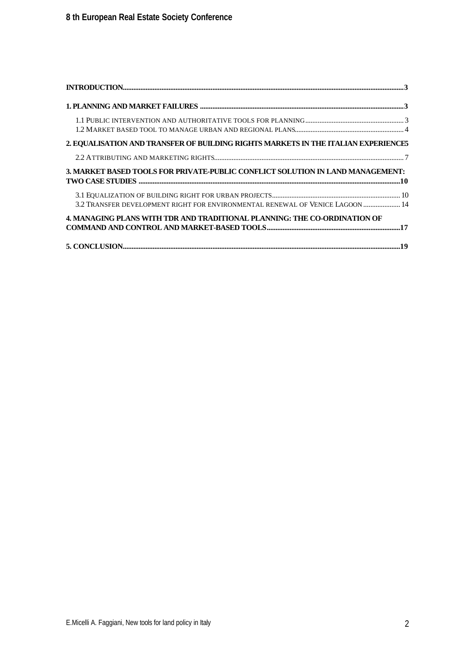| 2. EQUALISATION AND TRANSFER OF BUILDING RIGHTS MARKETS IN THE ITALIAN EXPERIENCE5 |  |
|------------------------------------------------------------------------------------|--|
|                                                                                    |  |
| 3. MARKET BASED TOOLS FOR PRIVATE-PUBLIC CONFLICT SOLUTION IN LAND MANAGEMENT:     |  |
| 3.2 TRANSFER DEVELOPMENT RIGHT FOR ENVIRONMENTAL RENEWAL OF VENICE LAGOON  14      |  |
| 4. MANAGING PLANS WITH TDR AND TRADITIONAL PLANNING: THE CO-ORDINATION OF          |  |
|                                                                                    |  |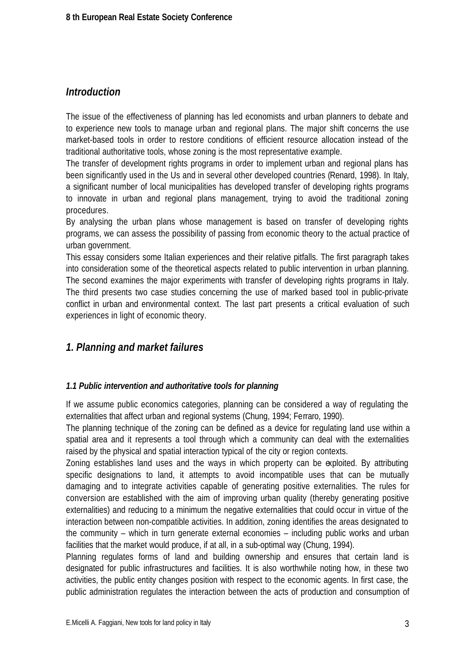# *Introduction*

The issue of the effectiveness of planning has led economists and urban planners to debate and to experience new tools to manage urban and regional plans. The major shift concerns the use market-based tools in order to restore conditions of efficient resource allocation instead of the traditional authoritative tools, whose zoning is the most representative example.

The transfer of development rights programs in order to implement urban and regional plans has been significantly used in the Us and in several other developed countries (Renard, 1998). In Italy, a significant number of local municipalities has developed transfer of developing rights programs to innovate in urban and regional plans management, trying to avoid the traditional zoning procedures.

By analysing the urban plans whose management is based on transfer of developing rights programs, we can assess the possibility of passing from economic theory to the actual practice of urban government.

This essay considers some Italian experiences and their relative pitfalls. The first paragraph takes into consideration some of the theoretical aspects related to public intervention in urban planning. The second examines the major experiments with transfer of developing rights programs in Italy. The third presents two case studies concerning the use of marked based tool in public-private conflict in urban and environmental context. The last part presents a critical evaluation of such experiences in light of economic theory.

# *1. Planning and market failures*

## *1.1 Public intervention and authoritative tools for planning*

If we assume public economics categories, planning can be considered a way of regulating the externalities that affect urban and regional systems (Chung, 1994; Ferraro, 1990).

The planning technique of the zoning can be defined as a device for regulating land use within a spatial area and it represents a tool through which a community can deal with the externalities raised by the physical and spatial interaction typical of the city or region contexts.

Zoning establishes land uses and the ways in which property can be exploited. By attributing specific designations to land, it attempts to avoid incompatible uses that can be mutually damaging and to integrate activities capable of generating positive externalities. The rules for conversion are established with the aim of improving urban quality (thereby generating positive externalities) and reducing to a minimum the negative externalities that could occur in virtue of the interaction between non-compatible activities. In addition, zoning identifies the areas designated to the community – which in turn generate external economies – including public works and urban facilities that the market would produce, if at all, in a sub-optimal way (Chung, 1994).

Planning regulates forms of land and building ownership and ensures that certain land is designated for public infrastructures and facilities. It is also worthwhile noting how, in these two activities, the public entity changes position with respect to the economic agents. In first case, the public administration regulates the interaction between the acts of production and consumption of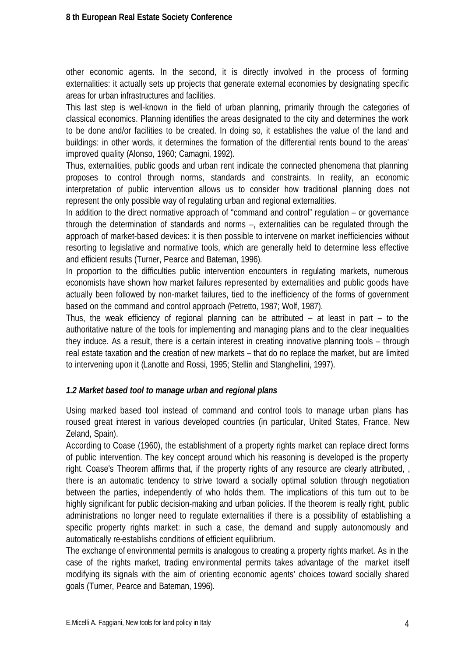other economic agents. In the second, it is directly involved in the process of forming externalities: it actually sets up projects that generate external economies by designating specific areas for urban infrastructures and facilities.

This last step is well-known in the field of urban planning, primarily through the categories of classical economics. Planning identifies the areas designated to the city and determines the work to be done and/or facilities to be created. In doing so, it establishes the value of the land and buildings: in other words, it determines the formation of the differential rents bound to the areas' improved quality (Alonso, 1960; Camagni, 1992).

Thus, externalities, public goods and urban rent indicate the connected phenomena that planning proposes to control through norms, standards and constraints. In reality, an economic interpretation of public intervention allows us to consider how traditional planning does not represent the only possible way of regulating urban and regional externalities.

In addition to the direct normative approach of "command and control" regulation – or governance through the determination of standards and norms –, externalities can be regulated through the approach of market-based devices: it is then possible to intervene on market inefficiencies without resorting to legislative and normative tools, which are generally held to determine less effective and efficient results (Turner, Pearce and Bateman, 1996).

In proportion to the difficulties public intervention encounters in regulating markets, numerous economists have shown how market failures represented by externalities and public goods have actually been followed by non-market failures, tied to the inefficiency of the forms of government based on the command and control approach (Petretto, 1987; Wolf, 1987).

Thus, the weak efficiency of regional planning can be attributed – at least in part – to the authoritative nature of the tools for implementing and managing plans and to the clear inequalities they induce. As a result, there is a certain interest in creating innovative planning tools – through real estate taxation and the creation of new markets – that do no replace the market, but are limited to intervening upon it (Lanotte and Rossi, 1995; Stellin and Stanghellini, 1997).

## *1.2 Market based tool to manage urban and regional plans*

Using marked based tool instead of command and control tools to manage urban plans has roused great interest in various developed countries (in particular, United States, France, New Zeland, Spain).

According to Coase (1960), the establishment of a property rights market can replace direct forms of public intervention. The key concept around which his reasoning is developed is the property right. Coase's Theorem affirms that, if the property rights of any resource are clearly attributed, , there is an automatic tendency to strive toward a socially optimal solution through negotiation between the parties, independently of who holds them. The implications of this turn out to be highly significant for public decision-making and urban policies. If the theorem is really right, public administrations no longer need to regulate externalities if there is a possibility of establishing a specific property rights market: in such a case, the demand and supply autonomously and automatically re-establishs conditions of efficient equilibrium.

The exchange of environmental permits is analogous to creating a property rights market. As in the case of the rights market, trading environmental permits takes advantage of the market itself modifying its signals with the aim of orienting economic agents' choices toward socially shared goals (Turner, Pearce and Bateman, 1996).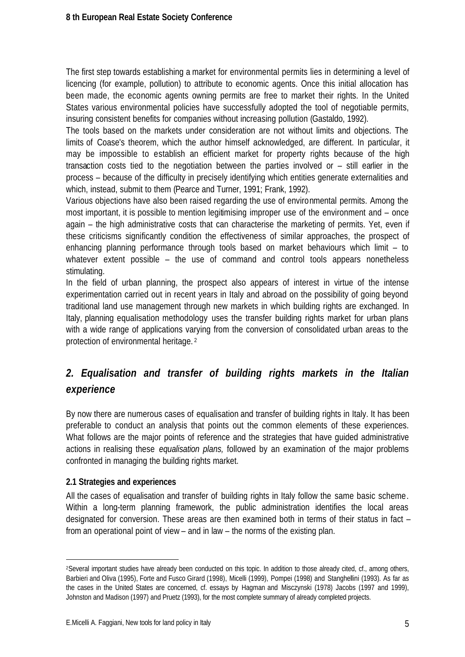The first step towards establishing a market for environmental permits lies in determining a level of licencing (for example, pollution) to attribute to economic agents. Once this initial allocation has been made, the economic agents owning permits are free to market their rights. In the United States various environmental policies have successfully adopted the tool of negotiable permits, insuring consistent benefits for companies without increasing pollution (Gastaldo, 1992).

The tools based on the markets under consideration are not without limits and objections. The limits of Coase's theorem, which the author himself acknowledged, are different. In particular, it may be impossible to establish an efficient market for property rights because of the high transaction costs tied to the negotiation between the parties involved or – still earlier in the process – because of the difficulty in precisely identifying which entities generate externalities and which, instead, submit to them (Pearce and Turner, 1991; Frank, 1992).

Various objections have also been raised regarding the use of environmental permits. Among the most important, it is possible to mention legitimising improper use of the environment and – once again – the high administrative costs that can characterise the marketing of permits. Yet, even if these criticisms significantly condition the effectiveness of similar approaches, the prospect of enhancing planning performance through tools based on market behaviours which limit – to whatever extent possible – the use of command and control tools appears nonetheless stimulating.

In the field of urban planning, the prospect also appears of interest in virtue of the intense experimentation carried out in recent years in Italy and abroad on the possibility of going beyond traditional land use management through new markets in which building rights are exchanged. In Italy, planning equalisation methodology uses the transfer building rights market for urban plans with a wide range of applications varying from the conversion of consolidated urban areas to the protection of environmental heritage. <sup>2</sup>

# *2. Equalisation and transfer of building rights markets in the Italian experience*

By now there are numerous cases of equalisation and transfer of building rights in Italy. It has been preferable to conduct an analysis that points out the common elements of these experiences. What follows are the major points of reference and the strategies that have guided administrative actions in realising these *equalisation plans,* followed by an examination of the major problems confronted in managing the building rights market.

## **2.1 Strategies and experiences**

l

All the cases of equalisation and transfer of building rights in Italy follow the same basic scheme. Within a long-term planning framework, the public administration identifies the local areas designated for conversion. These areas are then examined both in terms of their status in fact – from an operational point of view – and in law – the norms of the existing plan.

<sup>2</sup>Several important studies have already been conducted on this topic. In addition to those already cited, cf., among others, Barbieri and Oliva (1995), Forte and Fusco Girard (1998), Micelli (1999), Pompei (1998) and Stanghellini (1993). As far as the cases in the United States are concerned, cf. essays by Hagman and Misczynski (1978) Jacobs (1997 and 1999), Johnston and Madison (1997) and Pruetz (1993), for the most complete summary of already completed projects.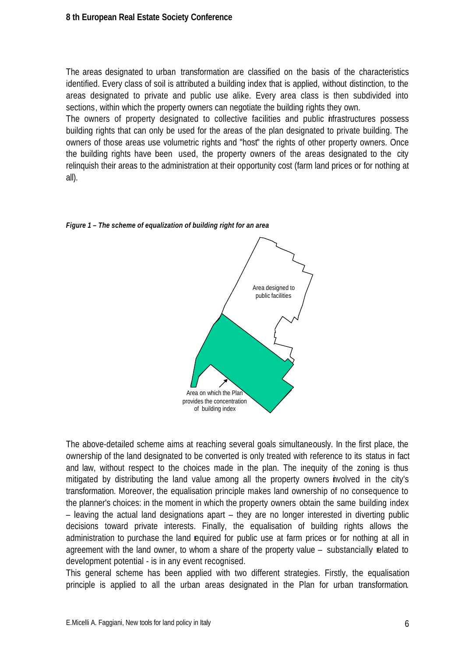The areas designated to urban transformation are classified on the basis of the characteristics identified. Every class of soil is attributed a building index that is applied, without distinction, to the areas designated to private and public use alike. Every area class is then subdivided into sections, within which the property owners can negotiate the building rights they own.

The owners of property designated to collective facilities and public infrastructures possess building rights that can only be used for the areas of the plan designated to private building. The owners of those areas use volumetric rights and "host" the rights of other property owners. Once the building rights have been used, the property owners of the areas designated to the city relinquish their areas to the administration at their opportunity cost (farm land prices or for nothing at all).



*Figure 1 – The scheme of equalization of building right for an area*

The above-detailed scheme aims at reaching several goals simultaneously. In the first place, the ownership of the land designated to be converted is only treated with reference to its status in fact and law, without respect to the choices made in the plan. The inequity of the zoning is thus mitigated by distributing the land value among all the property owners involved in the city's transformation. Moreover, the equalisation principle makes land ownership of no consequence to the planner's choices: in the moment in which the property owners obtain the same building index – leaving the actual land designations apart – they are no longer interested in diverting public decisions toward private interests. Finally, the equalisation of building rights allows the administration to purchase the land required for public use at farm prices or for nothing at all in agreement with the land owner, to whom a share of the property value – substancially related to development potential - is in any event recognised.

This general scheme has been applied with two different strategies. Firstly, the equalisation principle is applied to all the urban areas designated in the Plan for urban transformation.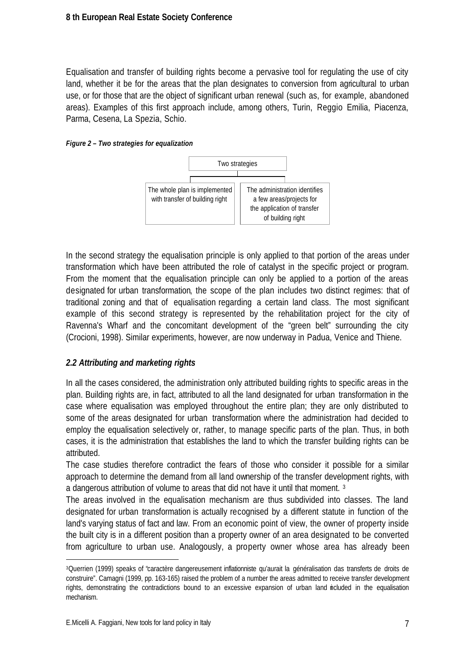Equalisation and transfer of building rights become a pervasive tool for regulating the use of city land, whether it be for the areas that the plan designates to conversion from agricultural to urban use, or for those that are the object of significant urban renewal (such as, for example, abandoned areas). Examples of this first approach include, among others, Turin, Reggio Emilia, Piacenza, Parma, Cesena, La Spezia, Schio.





In the second strategy the equalisation principle is only applied to that portion of the areas under transformation which have been attributed the role of catalyst in the specific project or program. From the moment that the equalisation principle can only be applied to a portion of the areas designated for urban transformation, the scope of the plan includes two distinct regimes: that of traditional zoning and that of equalisation regarding a certain land class. The most significant example of this second strategy is represented by the rehabilitation project for the city of Ravenna's Wharf and the concomitant development of the "green belt" surrounding the city (Crocioni, 1998). Similar experiments, however, are now underway in Padua, Venice and Thiene.

## *2.2 Attributing and marketing rights*

In all the cases considered, the administration only attributed building rights to specific areas in the plan. Building rights are, in fact, attributed to all the land designated for urban transformation in the case where equalisation was employed throughout the entire plan; they are only distributed to some of the areas designated for urban transformation where the administration had decided to employ the equalisation selectively or, rather, to manage specific parts of the plan. Thus, in both cases, it is the administration that establishes the land to which the transfer building rights can be attributed.

The case studies therefore contradict the fears of those who consider it possible for a similar approach to determine the demand from all land ownership of the transfer development rights, with a dangerous attribution of volume to areas that did not have it until that moment. <sup>3</sup>

The areas involved in the equalisation mechanism are thus subdivided into classes. The land designated for urban transformation is actually recognised by a different statute in function of the land's varying status of fact and law. From an economic point of view, the owner of property inside the built city is in a different position than a property owner of an area designated to be converted from agriculture to urban use. Analogously, a property owner whose area has already been

l

<sup>3</sup>Querrien (1999) speaks of "caractère dangereusement inflationniste qu'aurait la généralisation das transferts de droits de construire". Camagni (1999, pp. 163-165) raised the problem of a number the areas admitted to receive transfer development rights, demonstrating the contradictions bound to an excessive expansion of urban land included in the equalisation mechanism.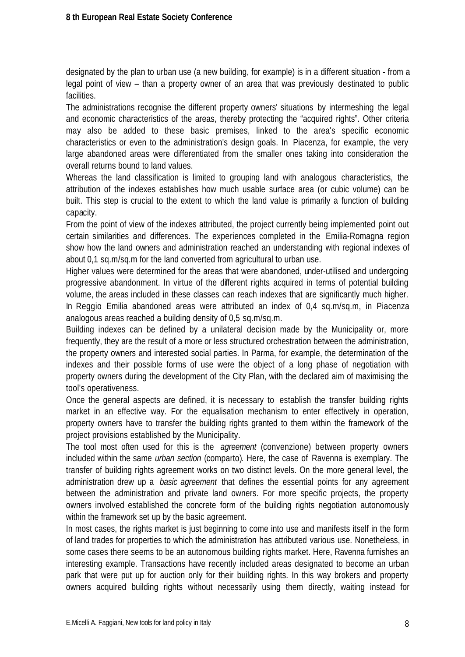designated by the plan to urban use (a new building, for example) is in a different situation - from a legal point of view – than a property owner of an area that was previously destinated to public facilities.

The administrations recognise the different property owners' situations by intermeshing the legal and economic characteristics of the areas, thereby protecting the "acquired rights". Other criteria may also be added to these basic premises, linked to the area's specific economic characteristics or even to the administration's design goals. In Piacenza, for example, the very large abandoned areas were differentiated from the smaller ones taking into consideration the overall returns bound to land values.

Whereas the land classification is limited to grouping land with analogous characteristics, the attribution of the indexes establishes how much usable surface area (or cubic volume) can be built. This step is crucial to the extent to which the land value is primarily a function of building capacity.

From the point of view of the indexes attributed, the project currently being implemented point out certain similarities and differences. The experiences completed in the Emilia-Romagna region show how the land owners and administration reached an understanding with regional indexes of about 0,1 sq.m/sq.m for the land converted from agricultural to urban use.

Higher values were determined for the areas that were abandoned, under-utilised and undergoing progressive abandonment. In virtue of the different rights acquired in terms of potential building volume, the areas included in these classes can reach indexes that are significantly much higher. In Reggio Emilia abandoned areas were attributed an index of 0,4 sq.m/sq.m, in Piacenza analogous areas reached a building density of 0,5 sq.m/sq.m.

Building indexes can be defined by a unilateral decision made by the Municipality or, more frequently, they are the result of a more or less structured orchestration between the administration, the property owners and interested social parties. In Parma, for example, the determination of the indexes and their possible forms of use were the object of a long phase of negotiation with property owners during the development of the City Plan, with the declared aim of maximising the tool's operativeness.

Once the general aspects are defined, it is necessary to establish the transfer building rights market in an effective way. For the equalisation mechanism to enter effectively in operation, property owners have to transfer the building rights granted to them within the framework of the project provisions established by the Municipality.

The tool most often used for this is the *agreement* (convenzione) between property owners included within the same *urban section* (comparto)*.* Here, the case of Ravenna is exemplary. The transfer of building rights agreement works on two distinct levels. On the more general level, the administration drew up a *basic agreement* that defines the essential points for any agreement between the administration and private land owners. For more specific projects, the property owners involved established the concrete form of the building rights negotiation autonomously within the framework set up by the basic agreement.

In most cases, the rights market is just beginning to come into use and manifests itself in the form of land trades for properties to which the administration has attributed various use. Nonetheless, in some cases there seems to be an autonomous building rights market. Here, Ravenna furnishes an interesting example. Transactions have recently included areas designated to become an urban park that were put up for auction only for their building rights. In this way brokers and property owners acquired building rights without necessarily using them directly, waiting instead for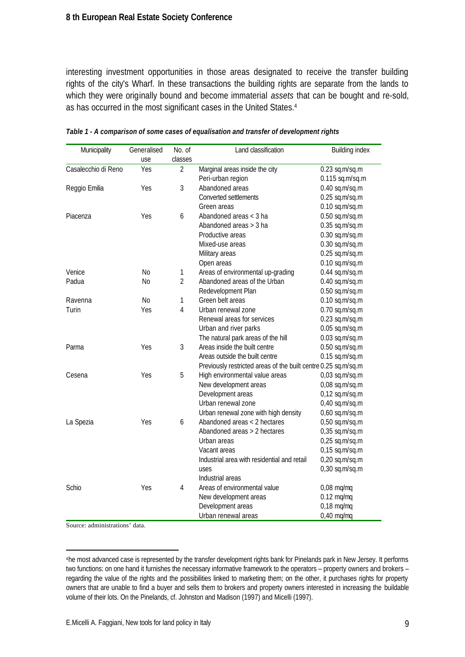interesting investment opportunities in those areas designated to receive the transfer building rights of the city's Wharf. In these transactions the building rights are separate from the lands to which they were originally bound and become immaterial *assets* that can be bought and re-sold, as has occurred in the most significant cases in the United States.<sup>4</sup>

| Municipality        | Generalised    | No. of         | Land classification                                            | <b>Building index</b> |
|---------------------|----------------|----------------|----------------------------------------------------------------|-----------------------|
|                     | use            | classes        |                                                                |                       |
| Casalecchio di Reno | Yes            | $\overline{2}$ | Marginal areas inside the city                                 | $0.23$ sq.m/sq.m      |
|                     |                |                | Peri-urban region                                              | $0.115$ sq.m/sq.m     |
| Reggio Emilia       | Yes            | 3              | Abandoned areas                                                | $0.40$ sq.m/sq.m      |
|                     |                |                | Converted settlements                                          | $0.25$ sq.m/sq.m      |
|                     |                |                | Green areas                                                    | $0.10$ sq.m/sq.m      |
| Piacenza            | Yes            | 6              | Abandoned areas < 3 ha                                         | $0.50$ sq.m/sq.m      |
|                     |                |                | Abandoned areas > 3 ha                                         | $0.35$ sq.m/sq.m      |
|                     |                |                | Productive areas                                               | $0.30$ sq.m/sq.m      |
|                     |                |                | Mixed-use areas                                                | $0.30$ sq.m/sq.m      |
|                     |                |                | Military areas                                                 | $0.25$ sq.m/sq.m      |
|                     |                |                | Open areas                                                     | $0.10$ sq.m/sq.m      |
| Venice              | No             | 1              | Areas of environmental up-grading                              | $0.44$ sq.m/sq.m      |
| Padua               | N <sub>0</sub> | $\overline{2}$ | Abandoned areas of the Urban                                   | $0.40$ sq.m/sq.m      |
|                     |                |                | Redevelopment Plan                                             | $0.50$ sq.m/sq.m      |
| Ravenna             | No             | 1              | Green belt areas                                               | $0.10$ sq.m/sq.m      |
| Turin               | Yes            | $\overline{4}$ | Urban renewal zone                                             | $0.70$ sq.m/sq.m      |
|                     |                |                | Renewal areas for services                                     | $0.23$ sq.m/sq.m      |
|                     |                |                | Urban and river parks                                          | $0.05$ sq.m/sq.m      |
|                     |                |                | The natural park areas of the hill                             | $0.03$ sq.m/sq.m      |
| Parma               | Yes            | 3              | Areas inside the built centre                                  | $0.50$ sq.m/sq.m      |
|                     |                |                | Areas outside the built centre<br>$0.15$ sq.m/sq.m             |                       |
|                     |                |                | Previously restricted areas of the built centre 0.25 sq.m/sq.m |                       |
| Cesena              | Yes            | 5              | High environmental value areas                                 | $0,03$ sq.m/sq.m      |
|                     |                |                | New development areas                                          | $0,08$ sq.m/sq.m      |
|                     |                |                | Development areas                                              | $0,12$ sq.m/sq.m      |
|                     |                |                | Urban renewal zone                                             | $0,40$ sq.m/sq.m      |
|                     |                |                | Urban renewal zone with high density                           | $0,60$ sq.m/sq.m      |
| La Spezia           | Yes            | 6              | Abandoned areas < 2 hectares                                   | $0,50$ sq.m/sq.m      |
|                     |                |                | Abandoned areas > 2 hectares                                   | $0,35$ sq.m/sq.m      |
|                     |                |                | Urban areas                                                    | $0,25$ sq.m/sq.m      |
|                     |                |                | Vacant areas                                                   | $0,15$ sq.m/sq.m      |
|                     |                |                | Industrial area with residential and retail                    | 0,20 sq.m/sq.m        |
|                     |                |                | uses                                                           | 0,30 sq.m/sq.m        |
|                     |                |                | Industrial areas                                               |                       |
| Schio               | Yes            | $\overline{4}$ | Areas of environmental value                                   | $0,08$ mq/mq          |
|                     |                |                | New development areas                                          | $0.12$ mq/mq          |
|                     |                |                | Development areas                                              | $0,18$ mg/mg          |
|                     |                |                | Urban renewal areas                                            | $0,40$ mq/mq          |

*Table 1 - A comparison of some cases of equalisation and transfer of development rights*

Source: administrations' data.

l

<sup>4</sup>he most advanced case is represented by the transfer development rights bank for Pinelands park in New Jersey. It performs two functions: on one hand it furnishes the necessary informative framework to the operators – property owners and brokers – regarding the value of the rights and the possibilities linked to marketing them; on the other, it purchases rights for property owners that are unable to find a buyer and sells them to brokers and property owners interested in increasing the buildable volume of their lots. On the Pinelands, cf. Johnston and Madison (1997) and Micelli (1997).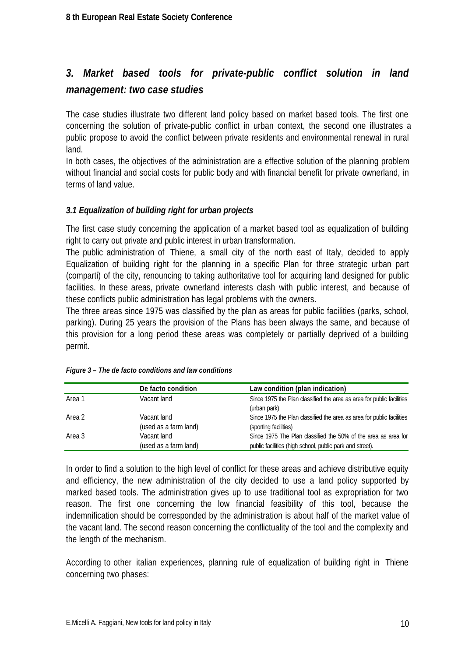# *3. Market based tools for private-public conflict solution in land management: two case studies*

The case studies illustrate two different land policy based on market based tools. The first one concerning the solution of private-public conflict in urban context, the second one illustrates a public propose to avoid the conflict between private residents and environmental renewal in rural land.

In both cases, the objectives of the administration are a effective solution of the planning problem without financial and social costs for public body and with financial benefit for private ownerland, in terms of land value.

## *3.1 Equalization of building right for urban projects*

The first case study concerning the application of a market based tool as equalization of building right to carry out private and public interest in urban transformation.

The public administration of Thiene, a small city of the north east of Italy, decided to apply Equalization of building right for the planning in a specific Plan for three strategic urban part (comparti) of the city, renouncing to taking authoritative tool for acquiring land designed for public facilities. In these areas, private ownerland interests clash with public interest, and because of these conflicts public administration has legal problems with the owners.

The three areas since 1975 was classified by the plan as areas for public facilities (parks, school, parking). During 25 years the provision of the Plans has been always the same, and because of this provision for a long period these areas was completely or partially deprived of a building permit.

|        | De facto condition    | Law condition (plan indication)                                       |
|--------|-----------------------|-----------------------------------------------------------------------|
| Area 1 | Vacant land           | Since 1975 the Plan classified the area as area for public facilities |
|        |                       | (urban park)                                                          |
| Area 2 | Vacant land           | Since 1975 the Plan classified the area as area for public facilities |
|        | (used as a farm land) | (sporting facilities)                                                 |
| Area 3 | Vacant land           | Since 1975 The Plan classified the 50% of the area as area for        |
|        | (used as a farm land) | public facilities (high school, public park and street).              |

|  | Figure 3 - The de facto conditions and law conditions |  |  |
|--|-------------------------------------------------------|--|--|

In order to find a solution to the high level of conflict for these areas and achieve distributive equity and efficiency, the new administration of the city decided to use a land policy supported by marked based tools. The administration gives up to use traditional tool as expropriation for two reason. The first one concerning the low financial feasibility of this tool, because the indemnification should be corresponded by the administration is about half of the market value of the vacant land. The second reason concerning the conflictuality of the tool and the complexity and the length of the mechanism.

According to other italian experiences, planning rule of equalization of building right in Thiene concerning two phases: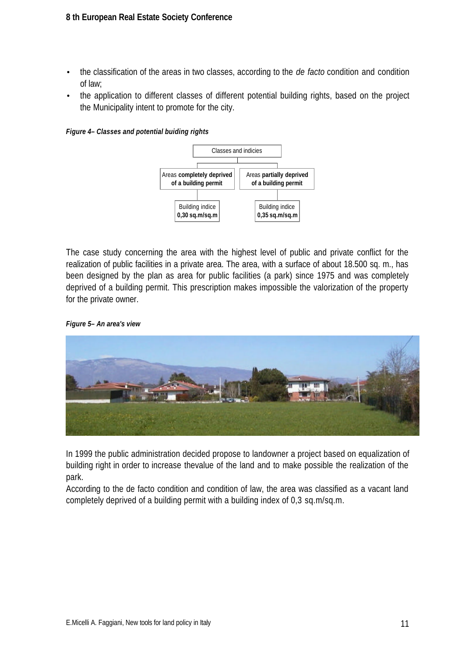- the classification of the areas in two classes, according to the *de facto* condition and condition of law;
- the application to different classes of different potential building rights, based on the project the Municipality intent to promote for the city.

*Figure 4– Classes and potential buiding rights*



The case study concerning the area with the highest level of public and private conflict for the realization of public facilities in a private area. The area, with a surface of about 18.500 sq. m., has been designed by the plan as area for public facilities (a park) since 1975 and was completely deprived of a building permit. This prescription makes impossible the valorization of the property for the private owner.

#### *Figure 5– An area's view*



In 1999 the public administration decided propose to landowner a project based on equalization of building right in order to increase thevalue of the land and to make possible the realization of the park.

According to the de facto condition and condition of law, the area was classified as a vacant land completely deprived of a building permit with a building index of 0,3 sq.m/sq.m.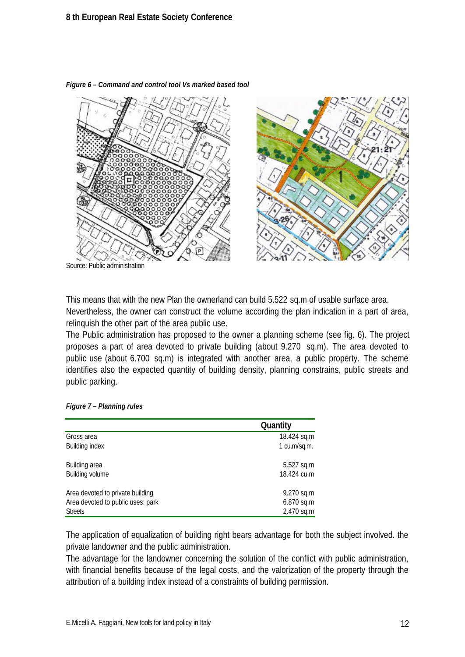

*Figure 6 – Command and control tool Vs marked based tool*

This means that with the new Plan the ownerland can build 5.522 sq.m of usable surface area. Nevertheless, the owner can construct the volume according the plan indication in a part of area, relinquish the other part of the area public use.

The Public administration has proposed to the owner a planning scheme (see fig. 6). The project proposes a part of area devoted to private building (about 9.270 sq.m). The area devoted to public use (about 6.700 sq.m) is integrated with another area, a public property. The scheme identifies also the expected quantity of building density, planning constrains, public streets and public parking.

|  |  | Figure 7 - Planning rules |  |
|--|--|---------------------------|--|
|--|--|---------------------------|--|

|                                   | Quantity     |
|-----------------------------------|--------------|
| Gross area                        | 18.424 sq.m  |
| <b>Building index</b>             | 1 cu.m/sq.m. |
| Building area                     | 5.527 sq.m   |
| Building volume                   | 18.424 cu.m  |
| Area devoted to private building  | 9.270 sq.m   |
| Area devoted to public uses: park | 6.870 sq.m   |
| <b>Streets</b>                    | 2.470 sq.m   |

The application of equalization of building right bears advantage for both the subject involved. the private landowner and the public administration.

The advantage for the landowner concerning the solution of the conflict with public administration, with financial benefits because of the legal costs, and the valorization of the property through the attribution of a building index instead of a constraints of building permission.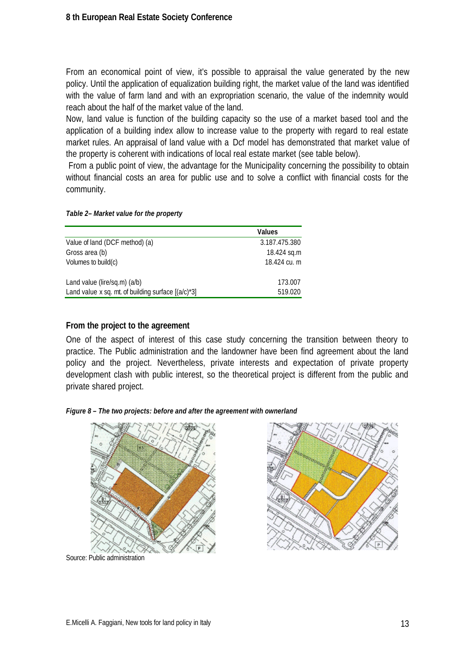From an economical point of view, it's possible to appraisal the value generated by the new policy. Until the application of equalization building right, the market value of the land was identified with the value of farm land and with an expropriation scenario, the value of the indemnity would reach about the half of the market value of the land.

Now, land value is function of the building capacity so the use of a market based tool and the application of a building index allow to increase value to the property with regard to real estate market rules. An appraisal of land value with a Dcf model has demonstrated that market value of the property is coherent with indications of local real estate market (see table below).

 From a public point of view, the advantage for the Municipality concerning the possibility to obtain without financial costs an area for public use and to solve a conflict with financial costs for the community.

|                                                       | Values        |
|-------------------------------------------------------|---------------|
| Value of land (DCF method) (a)                        | 3.187.475.380 |
| Gross area (b)                                        | 18.424 sq.m   |
| Volumes to build $(c)$                                | 18.424 cu. m  |
|                                                       |               |
| Land value (lire/sq.m) (a/b)                          | 173.007       |
| Land value x sq. mt. of building surface $[(a/c)^*3]$ | 519.020       |

#### *Table 2– Market value for the property*

## **From the project to the agreement**

One of the aspect of interest of this case study concerning the transition between theory to practice. The Public administration and the landowner have been find agreement about the land policy and the project. Nevertheless, private interests and expectation of private property development clash with public interest, so the theoretical project is different from the public and private shared project.

#### *Figure 8 – The two projects: before and after the agreement with ownerland*



Source: Public administration

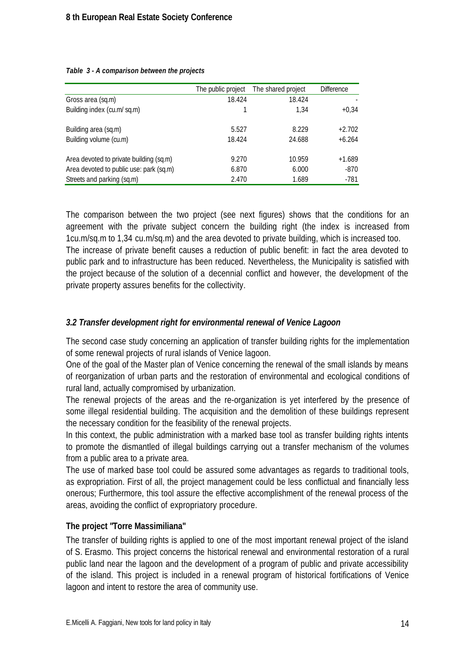|                                         | The public project | The shared project | <b>Difference</b> |
|-----------------------------------------|--------------------|--------------------|-------------------|
| Gross area (sq.m)                       | 18.424             | 18.424             |                   |
| Building index (cu.m/ sq.m)             |                    | 1.34               | $+0,34$           |
| Building area (sq.m)                    | 5.527              | 8.229              | $+2.702$          |
| Building volume (cu.m)                  | 18.424             | 24.688             | $+6.264$          |
| Area devoted to private building (sq.m) | 9.270              | 10.959             | $+1.689$          |
| Area devoted to public use: park (sq.m) | 6.870              | 6.000              | $-870$            |
| Streets and parking (sq.m)              | 2.470              | 1.689              | $-781$            |

#### *Table 3 - A comparison between the projects*

The comparison between the two project (see next figures) shows that the conditions for an agreement with the private subject concern the building right (the index is increased from 1cu.m/sq.m to 1,34 cu.m/sq.m) and the area devoted to private building, which is increased too. The increase of private benefit causes a reduction of public benefit: in fact the area devoted to public park and to infrastructure has been reduced. Nevertheless, the Municipality is satisfied with the project because of the solution of a decennial conflict and however, the development of the private property assures benefits for the collectivity.

#### *3.2 Transfer development right for environmental renewal of Venice Lagoon*

The second case study concerning an application of transfer building rights for the implementation of some renewal projects of rural islands of Venice lagoon.

One of the goal of the Master plan of Venice concerning the renewal of the small islands by means of reorganization of urban parts and the restoration of environmental and ecological conditions of rural land, actually compromised by urbanization.

The renewal projects of the areas and the re-organization is yet interfered by the presence of some illegal residential building. The acquisition and the demolition of these buildings represent the necessary condition for the feasibility of the renewal projects.

In this context, the public administration with a marked base tool as transfer building rights intents to promote the dismantled of illegal buildings carrying out a transfer mechanism of the volumes from a public area to a private area.

The use of marked base tool could be assured some advantages as regards to traditional tools, as expropriation. First of all, the project management could be less conflictual and financially less onerous; Furthermore, this tool assure the effective accomplishment of the renewal process of the areas, avoiding the conflict of expropriatory procedure.

## **The project "Torre Massimiliana"**

The transfer of building rights is applied to one of the most important renewal project of the island of S. Erasmo. This project concerns the historical renewal and environmental restoration of a rural public land near the lagoon and the development of a program of public and private accessibility of the island. This project is included in a renewal program of historical fortifications of Venice lagoon and intent to restore the area of community use.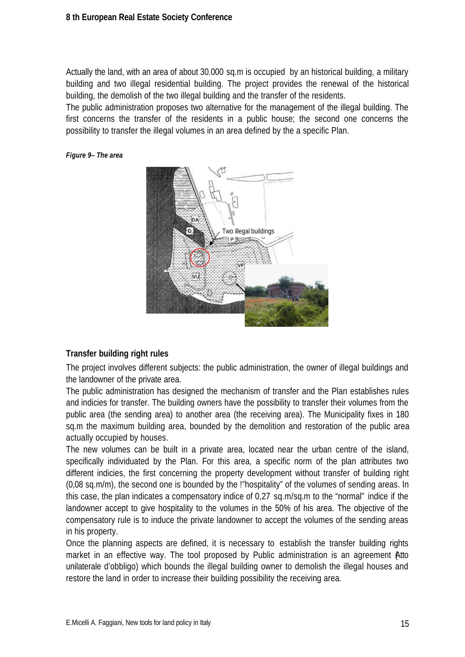Actually the land, with an area of about 30.000 sq.m is occupied by an historical building, a military building and two illegal residential building. The project provides the renewal of the historical building, the demolish of the two illegal building and the transfer of the residents.

The public administration proposes two alternative for the management of the illegal building. The first concerns the transfer of the residents in a public house; the second one concerns the possibility to transfer the illegal volumes in an area defined by the a specific Plan.

#### *Figure 9– The area*



#### **Transfer building right rules**

The project involves different subjects: the public administration, the owner of illegal buildings and the landowner of the private area.

The public administration has designed the mechanism of transfer and the Plan establishes rules and indicies for transfer. The building owners have the possibility to transfer their volumes from the public area (the sending area) to another area (the receiving area). The Municipality fixes in 180 sq.m the maximum building area, bounded by the demolition and restoration of the public area actually occupied by houses.

The new volumes can be built in a private area, located near the urban centre of the island, specifically individuated by the Plan. For this area, a specific norm of the plan attributes two different indicies, the first concerning the property development without transfer of building right (0,08 sq.m/m), the second one is bounded by the !"hospitality" of the volumes of sending areas. In this case, the plan indicates a compensatory indice of 0,27 sq.m/sq.m to the "normal" indice if the landowner accept to give hospitality to the volumes in the 50% of his area. The objective of the compensatory rule is to induce the private landowner to accept the volumes of the sending areas in his property.

Once the planning aspects are defined, it is necessary to establish the transfer building rights market in an effective way. The tool proposed by Public administration is an agreement Atto unilaterale d'obbligo) which bounds the illegal building owner to demolish the illegal houses and restore the land in order to increase their building possibility the receiving area.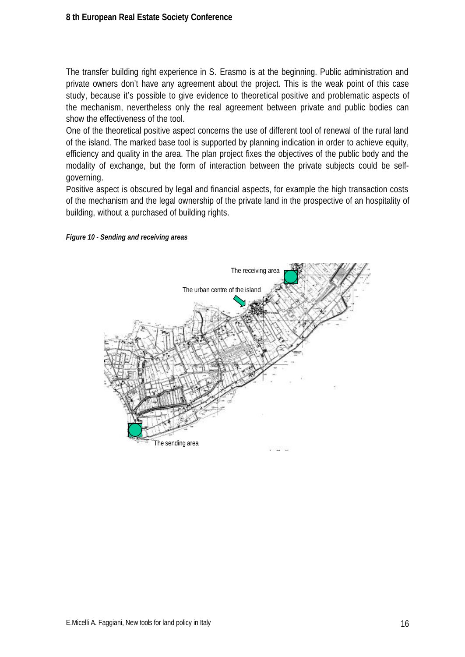The transfer building right experience in S. Erasmo is at the beginning. Public administration and private owners don't have any agreement about the project. This is the weak point of this case study, because it's possible to give evidence to theoretical positive and problematic aspects of the mechanism, nevertheless only the real agreement between private and public bodies can show the effectiveness of the tool.

One of the theoretical positive aspect concerns the use of different tool of renewal of the rural land of the island. The marked base tool is supported by planning indication in order to achieve equity, efficiency and quality in the area. The plan project fixes the objectives of the public body and the modality of exchange, but the form of interaction between the private subjects could be selfgoverning.

Positive aspect is obscured by legal and financial aspects, for example the high transaction costs of the mechanism and the legal ownership of the private land in the prospective of an hospitality of building, without a purchased of building rights.

![](_page_15_Figure_4.jpeg)

![](_page_15_Figure_5.jpeg)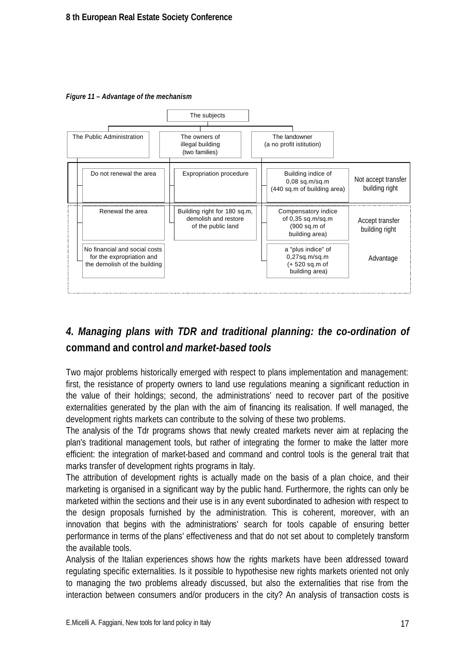*Figure 11 – Advantage of the mechanism*

![](_page_16_Figure_2.jpeg)

# *4. Managing plans with TDR and traditional planning: the co-ordination of* **command and control** *and market-based tools*

Two major problems historically emerged with respect to plans implementation and management: first, the resistance of property owners to land use regulations meaning a significant reduction in the value of their holdings; second, the administrations' need to recover part of the positive externalities generated by the plan with the aim of financing its realisation. If well managed, the development rights markets can contribute to the solving of these two problems.

The analysis of the Tdr programs shows that newly created markets never aim at replacing the plan's traditional management tools, but rather of integrating the former to make the latter more efficient: the integration of market-based and command and control tools is the general trait that marks transfer of development rights programs in Italy.

The attribution of development rights is actually made on the basis of a plan choice, and their marketing is organised in a significant way by the public hand. Furthermore, the rights can only be marketed within the sections and their use is in any event subordinated to adhesion with respect to the design proposals furnished by the administration. This is coherent, moreover, with an innovation that begins with the administrations' search for tools capable of ensuring better performance in terms of the plans' effectiveness and that do not set about to completely transform the available tools.

Analysis of the Italian experiences shows how the rights markets have been addressed toward regulating specific externalities. Is it possible to hypothesise new rights markets oriented not only to managing the two problems already discussed, but also the externalities that rise from the interaction between consumers and/or producers in the city? An analysis of transaction costs is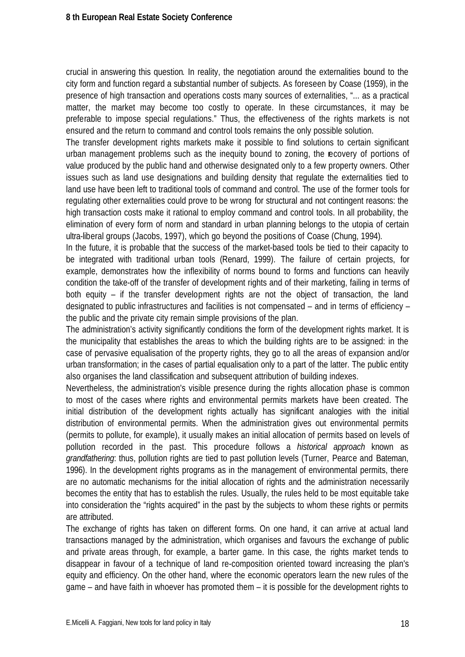crucial in answering this question. In reality, the negotiation around the externalities bound to the city form and function regard a substantial number of subjects. As foreseen by Coase (1959), in the presence of high transaction and operations costs many sources of externalities, "... as a practical matter, the market may become too costly to operate. In these circumstances, it may be preferable to impose special regulations." Thus, the effectiveness of the rights markets is not ensured and the return to command and control tools remains the only possible solution.

The transfer development rights markets make it possible to find solutions to certain significant urban management problems such as the inequity bound to zoning, the recovery of portions of value produced by the public hand and otherwise designated only to a few property owners. Other issues such as land use designations and building density that regulate the externalities tied to land use have been left to traditional tools of command and control. The use of the former tools for regulating other externalities could prove to be wrong for structural and not contingent reasons: the high transaction costs make it rational to employ command and control tools. In all probability, the elimination of every form of norm and standard in urban planning belongs to the utopia of certain ultra-liberal groups (Jacobs, 1997), which go beyond the positions of Coase (Chung, 1994).

In the future, it is probable that the success of the market-based tools be tied to their capacity to be integrated with traditional urban tools (Renard, 1999). The failure of certain projects, for example, demonstrates how the inflexibility of norms bound to forms and functions can heavily condition the take-off of the transfer of development rights and of their marketing, failing in terms of both equity – if the transfer development rights are not the object of transaction, the land designated to public infrastructures and facilities is not compensated – and in terms of efficiency – the public and the private city remain simple provisions of the plan.

The administration's activity significantly conditions the form of the development rights market. It is the municipality that establishes the areas to which the building rights are to be assigned: in the case of pervasive equalisation of the property rights, they go to all the areas of expansion and/or urban transformation; in the cases of partial equalisation only to a part of the latter. The public entity also organises the land classification and subsequent attribution of building indexes.

Nevertheless, the administration's visible presence during the rights allocation phase is common to most of the cases where rights and environmental permits markets have been created. The initial distribution of the development rights actually has significant analogies with the initial distribution of environmental permits. When the administration gives out environmental permits (permits to pollute, for example), it usually makes an initial allocation of permits based on levels of pollution recorded in the past. This procedure follows a *historical approach* known as *grandfathering*: thus, pollution rights are tied to past pollution levels (Turner, Pearce and Bateman, 1996). In the development rights programs as in the management of environmental permits, there are no automatic mechanisms for the initial allocation of rights and the administration necessarily becomes the entity that has to establish the rules. Usually, the rules held to be most equitable take into consideration the "rights acquired" in the past by the subjects to whom these rights or permits are attributed.

The exchange of rights has taken on different forms. On one hand, it can arrive at actual land transactions managed by the administration, which organises and favours the exchange of public and private areas through, for example, a barter game. In this case, the rights market tends to disappear in favour of a technique of land re-composition oriented toward increasing the plan's equity and efficiency. On the other hand, where the economic operators learn the new rules of the game – and have faith in whoever has promoted them – it is possible for the development rights to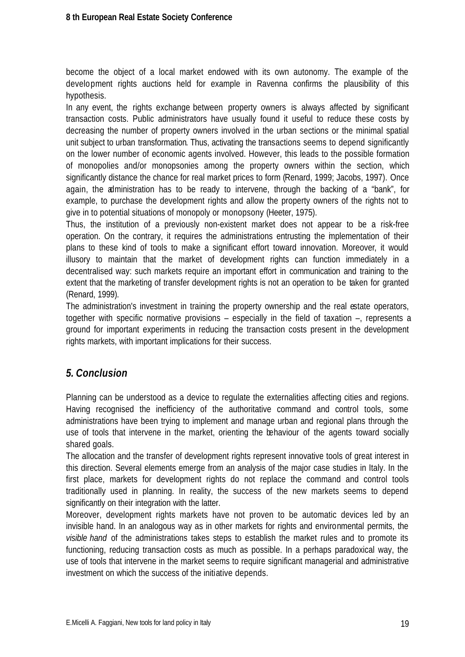become the object of a local market endowed with its own autonomy. The example of the development rights auctions held for example in Ravenna confirms the plausibility of this hypothesis.

In any event, the rights exchange between property owners is always affected by significant transaction costs. Public administrators have usually found it useful to reduce these costs by decreasing the number of property owners involved in the urban sections or the minimal spatial unit subject to urban transformation. Thus, activating the transactions seems to depend significantly on the lower number of economic agents involved. However, this leads to the possible formation of monopolies and/or monopsonies among the property owners within the section, which significantly distance the chance for real market prices to form (Renard, 1999; Jacobs, 1997). Once again, the administration has to be ready to intervene, through the backing of a "bank", for example, to purchase the development rights and allow the property owners of the rights not to give in to potential situations of monopoly or monopsony (Heeter, 1975).

Thus, the institution of a previously non-existent market does not appear to be a risk-free operation. On the contrary, it requires the administrations entrusting the implementation of their plans to these kind of tools to make a significant effort toward innovation. Moreover, it would illusory to maintain that the market of development rights can function immediately in a decentralised way: such markets require an important effort in communication and training to the extent that the marketing of transfer development rights is not an operation to be taken for granted (Renard, 1999).

The administration's investment in training the property ownership and the real estate operators, together with specific normative provisions – especially in the field of taxation –, represents a ground for important experiments in reducing the transaction costs present in the development rights markets, with important implications for their success.

# *5. Conclusion*

Planning can be understood as a device to regulate the externalities affecting cities and regions. Having recognised the inefficiency of the authoritative command and control tools, some administrations have been trying to implement and manage urban and regional plans through the use of tools that intervene in the market, orienting the behaviour of the agents toward socially shared goals.

The allocation and the transfer of development rights represent innovative tools of great interest in this direction. Several elements emerge from an analysis of the major case studies in Italy. In the first place, markets for development rights do not replace the command and control tools traditionally used in planning. In reality, the success of the new markets seems to depend significantly on their integration with the latter.

Moreover, development rights markets have not proven to be automatic devices led by an invisible hand. In an analogous way as in other markets for rights and environmental permits, the *visible hand* of the administrations takes steps to establish the market rules and to promote its functioning, reducing transaction costs as much as possible. In a perhaps paradoxical way, the use of tools that intervene in the market seems to require significant managerial and administrative investment on which the success of the initiative depends.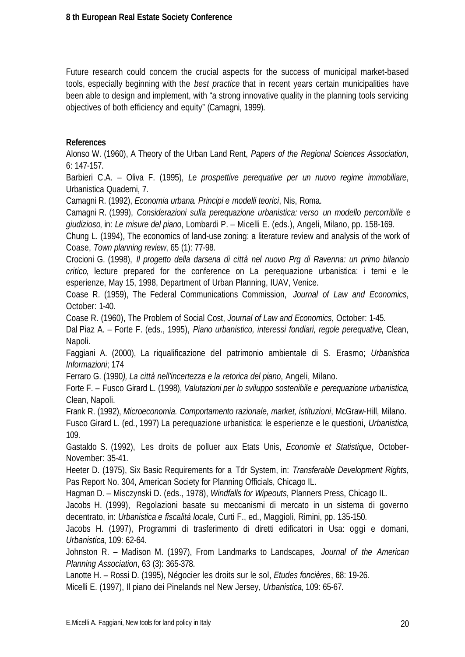Future research could concern the crucial aspects for the success of municipal market-based tools, especially beginning with the *best practice* that in recent years certain municipalities have been able to design and implement, with "a strong innovative quality in the planning tools servicing objectives of both efficiency and equity" (Camagni, 1999).

#### **References**

Alonso W. (1960), A Theory of the Urban Land Rent, *Papers of the Regional Sciences Association*, 6: 147-157.

Barbieri C.A. – Oliva F. (1995), *Le prospettive perequative per un nuovo regime immobiliare*, Urbanistica Quaderni, 7.

Camagni R. (1992), *Economia urbana. Principi e modelli teorici*, Nis, Roma.

Camagni R. (1999), *Considerazioni sulla perequazione urbanistica: verso un modello percorribile e giudizioso*, in: *Le misure del piano*, Lombardi P. – Micelli E. (eds.), Angeli, Milano, pp. 158-169.

Chung L. (1994), The economics of land-use zoning: a literature review and analysis of the work of Coase, *Town planning review*, 65 (1): 77-98.

Crocioni G. (1998), *Il progetto della darsena di città nel nuovo Prg di Ravenna: un primo bilancio critico*, lecture prepared for the conference on La perequazione urbanistica: i temi e le esperienze, May 15, 1998, Department of Urban Planning, IUAV, Venice.

Coase R. (1959), The Federal Communications Commission, *Journal of Law and Economics*, October: 1-40.

Coase R. (1960), The Problem of Social Cost, *Journal of Law and Economics*, October: 1-45.

Dal Piaz A. – Forte F. (eds., 1995), *Piano urbanistico, interessi fondiari, regole perequative*, Clean, Napoli.

Faggiani A. (2000), La riqualificazione del patrimonio ambientale di S. Erasmo; *Urbanistica Informazioni*; 174

Ferraro G. (1990*), La città nell'incertezza e la retorica del piano*, Angeli, Milano.

Forte F. – Fusco Girard L. (1998), *Valutazioni per lo sviluppo sostenibile e perequazione urbanistica*, Clean, Napoli.

Frank R. (1992), *Microeconomia. Comportamento razionale, market, istituzioni*, McGraw-Hill, Milano.

Fusco Girard L. (ed., 1997) La perequazione urbanistica: le esperienze e le questioni, *Urbanistica*, 109.

Gastaldo S. (1992), Les droits de polluer aux Etats Unis, *Economie et Statistique*, October-November: 35-41.

Heeter D. (1975), Six Basic Requirements for a Tdr System, in: *Transferable Development Rights*, Pas Report No. 304, American Society for Planning Officials, Chicago IL.

Hagman D. – Misczynski D. (eds., 1978), *Windfalls for Wipeouts*, Planners Press, Chicago IL.

Jacobs H. (1999), Regolazioni basate su meccanismi di mercato in un sistema di governo decentrato, in: *Urbanistica e fiscalità locale*, Curti F., ed., Maggioli, Rimini, pp. 135-150.

Jacobs H. (1997), Programmi di trasferimento di diretti edificatori in Usa: oggi e domani, *Urbanistica*, 109: 62-64.

Johnston R. – Madison M. (1997), From Landmarks to Landscapes, *Journal of the American Planning Association*, 63 (3): 365-378.

Lanotte H. – Rossi D. (1995), Négocier les droits sur le sol, *Etudes foncières*, 68: 19-26.

Micelli E. (1997), Il piano dei Pinelands nel New Jersey, *Urbanistica*, 109: 65-67.